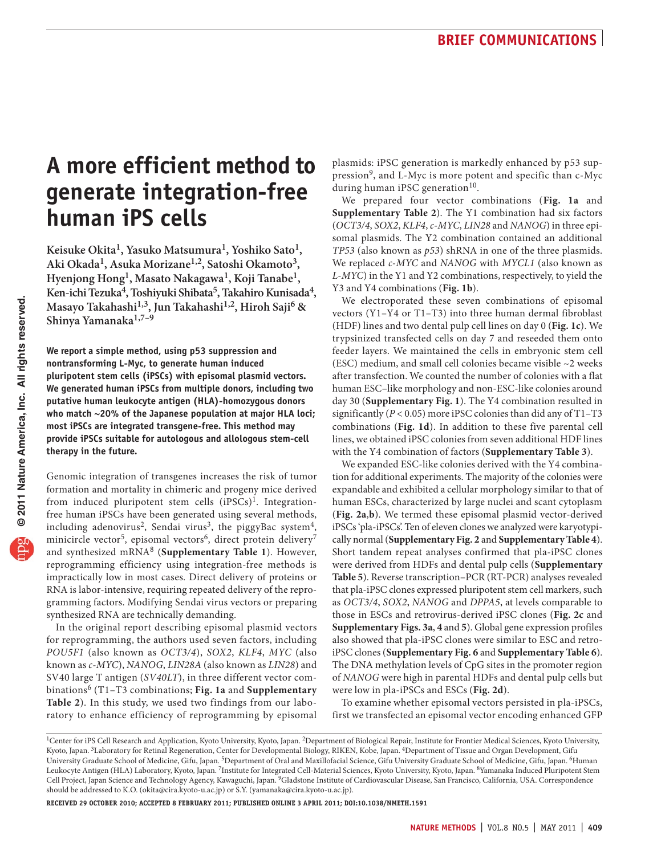# **A more efficient method to generate integration-free human iPS cells**

**Keisuke Okita1, Yasuko Matsumura1, Yoshiko Sato1, Aki Okada1, Asuka Morizane1,2, Satoshi Okamoto3, Hyenjong Hong1, Masato Nakagawa1, Koji Tanabe1, Ken-ichi Tezuka4, Toshiyuki Shibata5, Takahiro Kunisada4, Masayo Takahashi1,3, Jun Takahashi1,2, Hiroh Saji6 & Shinya Yamanaka1,7–9**

**We report a simple method, using p53 suppression and nontransforming L-Myc, to generate human induced pluripotent stem cells (iPSCs) with episomal plasmid vectors. We generated human iPSCs from multiple donors, including two putative human leukocyte antigen (HLA)-homozygous donors who match ~20% of the Japanese population at major HLA loci; most iPSCs are integrated transgene-free. This method may provide iPSCs suitable for autologous and allologous stem-cell therapy in the future.**

Genomic integration of transgenes increases the risk of tumor formation and mortality in chimeric and progeny mice derived from induced pluripotent stem cells (iPSCs)<sup>[1](#page-3-2)</sup>. Integrationfree human iPSCs have been generated using several methods, including adenovirus<sup>[2](#page-3-3)</sup>, Sendai virus<sup>[3](#page-3-4)</sup>, the piggyBac system<sup>4</sup>, minicircle vector<sup>[5](#page-3-6)</sup>, episomal vectors<sup>[6](#page-3-7)</sup>, direct protein delivery<sup>7</sup> and synthesized mRNA[8](#page-3-9) (**Supplementary Table 1**). However, reprogramming efficiency using integration-free methods is impractically low in most cases. Direct delivery of proteins or RNA is labor-intensive, requiring repeated delivery of the reprogramming factors. Modifying Sendai virus vectors or preparing synthesized RNA are technically demanding.

In the original report describing episomal plasmid vectors for reprogramming, the authors used seven factors, including *POU5F1* (also known as *OCT3/4*), *SOX2*, *KLF4*, *MYC* (also known as *c-MYC*), *NANOG*, *LIN28A* (also known as *LIN28*) and SV40 large T antigen (*SV40LT*), in three different vector combinations[6](#page-3-7) (T1–T3 combinations; **[Fig. 1a](#page-1-0)** and **Supplementary Table 2**). In this study, we used two findings from our laboratory to enhance efficiency of reprogramming by episomal plasmids: iPSC generation is markedly enhanced by p53 suppression<sup>9</sup>, and L-Myc is more potent and specific than c-Myc during human iPSC generation $10$ .

We prepared four vector combinations (**[Fig. 1a](#page-1-0)** and **Supplementary Table 2**). The Y1 combination had six factors (*OCT3/4*, *SOX2*, *KLF4*, *c-MYC*, *LIN28* and *NANOG*) in three episomal plasmids. The Y2 combination contained an additional *TP53* (also known as *p53*) shRNA in one of the three plasmids. We replaced *c-MYC* and *NANOG* with *MYCL1* (also known as *L-MYC*) in the Y1 and Y2 combinations, respectively, to yield the Y3 and Y4 combinations (**[Fig. 1b](#page-1-0)**).

We electroporated these seven combinations of episomal vectors (Y1–Y4 or T1–T3) into three human dermal fibroblast (HDF) lines and two dental pulp cell lines on day 0 (**[Fig. 1c](#page-1-0)**). We trypsinized transfected cells on day 7 and reseeded them onto feeder layers. We maintained the cells in embryonic stem cell (ESC) medium, and small cell colonies became visible ~2 weeks after transfection. We counted the number of colonies with a flat human ESC–like morphology and non-ESC-like colonies around day 30 (**Supplementary Fig. 1**). The Y4 combination resulted in significantly (*P* < 0.05) more iPSC colonies than did any of T1–T3 combinations (**[Fig. 1d](#page-1-0)**). In addition to these five parental cell lines, we obtained iPSC colonies from seven additional HDF lines with the Y4 combination of factors (**Supplementary Table 3**).

We expanded ESC-like colonies derived with the Y4 combination for additional experiments. The majority of the colonies were expandable and exhibited a cellular morphology similar to that of human ESCs, characterized by large nuclei and scant cytoplasm (**[Fig. 2a](#page-1-1)**,**b**). We termed these episomal plasmid vector-derived iPSCs 'pla-iPSCs'. Ten of eleven clones we analyzed were karyotypically normal (**Supplementary Fig. 2** and **Supplementary Table 4**). Short tandem repeat analyses confirmed that pla-iPSC clones were derived from HDFs and dental pulp cells (**Supplementary Table 5**). Reverse transcription–PCR (RT-PCR) analyses revealed that pla-iPSC clones expressed pluripotent stem cell markers, such as *OCT3/4*, *SOX2*, *NANOG* and *DPPA5*, at levels comparable to those in ESCs and retrovirus-derived iPSC clones (**[Fig. 2c](#page-1-1)** and **Supplementary Figs. 3a**, **4** and **5**). Global gene expression profiles also showed that pla-iPSC clones were similar to ESC and retroiPSC clones (**Supplementary Fig. 6** and **Supplementary Table 6**). The DNA methylation levels of CpG sites in the promoter region of *NANOG* were high in parental HDFs and dental pulp cells but were low in pla-iPSCs and ESCs (**[Fig. 2d](#page-1-1)**).

To examine whether episomal vectors persisted in pla-iPSCs, first we transfected an episomal vector encoding enhanced GFP

**Received 29 October 2010; accepted 8 February 2011; published online 3 april 2011; [doi:10.1038/nmeth.1591](http://www.nature.com/doifinder/10.1038/nmeth.1591)**

<sup>&</sup>lt;sup>1</sup>Center for iPS Cell Research and Application, Kyoto University, Kyoto, Japan. <sup>2</sup>Department of Biological Repair, Institute for Frontier Medical Sciences, Kyoto University, Kyoto, Japan. 3Laboratory for Retinal Regeneration, Center for Developmental Biology, RIKEN, Kobe, Japan. 4Department of Tissue and Organ Development, Gifu University Graduate School of Medicine, Gifu, Japan. 5Department of Oral and Maxillofacial Science, Gifu University Graduate School of Medicine, Gifu, Japan. 6Human Leukocyte Antigen (HLA) Laboratory, Kyoto, Japan. 7Institute for Integrated Cell-Material Sciences, Kyoto University, Kyoto, Japan. 8Yamanaka Induced Pluripotent Stem Cell Project, Japan Science and Technology Agency, Kawaguchi, Japan. 9Gladstone Institute of Cardiovascular Disease, San Francisco, California, USA. Correspondence should be addressed to K.O. (okita@cira.kyoto-u.ac.jp) or S.Y. (yamanaka@cira.kyoto-u.ac.jp).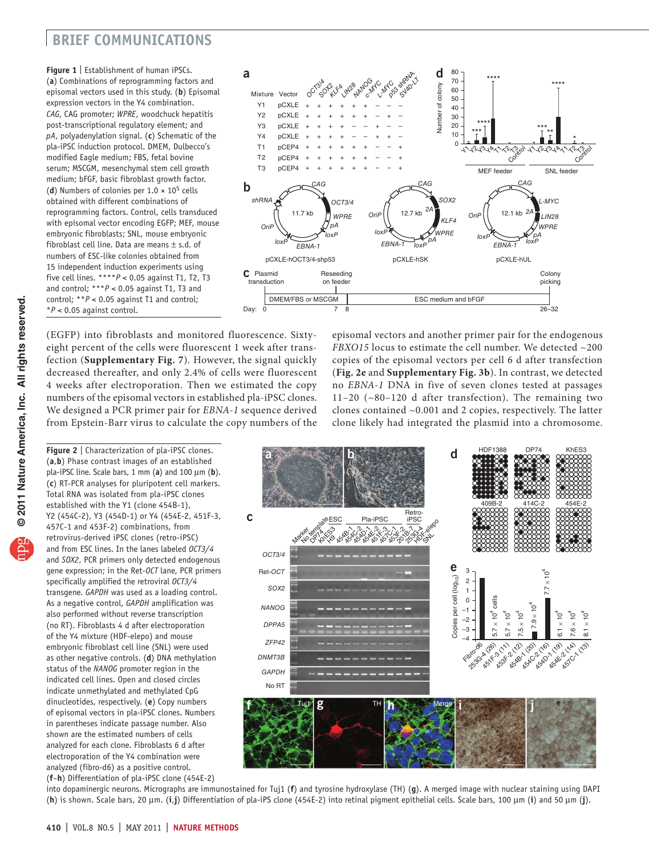### **brief communications**

<span id="page-1-0"></span>**Figure 1** | Establishment of human iPSCs. (**a**) Combinations of reprogramming factors and episomal vectors used in this study. (**b**) Episomal expression vectors in the Y4 combination. *CAG*, CAG promoter; *WPRE*, woodchuck hepatitis post-transcriptional regulatory element; and *pA*, polyadenylation signal. (**c**) Schematic of the pla-iPSC induction protocol. DMEM, Dulbecco's modified Eagle medium; FBS, fetal bovine serum; MSCGM, mesenchymal stem cell growth medium; bFGF, basic fibroblast growth factor. (**d**) Numbers of colonies per  $1.0 \times 10^5$  cells obtained with different combinations of reprogramming factors. Control, cells transduced with episomal vector encoding EGFP; MEF, mouse embryonic fibroblasts; SNL, mouse embryonic fibroblast cell line. Data are means  $\pm$  s.d. of numbers of ESC-like colonies obtained from 15 independent induction experiments using five cell lines. \*\*\*\**P* < 0.05 against T1, T2, T3 and control; \*\*\**P* < 0.05 against T1, T3 and control; \*\**P* < 0.05 against T1 and control; \**P* < 0.05 against control.



(EGFP) into fibroblasts and monitored fluorescence. Sixtyeight percent of the cells were fluorescent 1 week after transfection (**Supplementary Fig. 7**). However, the signal quickly decreased thereafter, and only 2.4% of cells were fluorescent 4 weeks after electroporation. Then we estimated the copy numbers of the episomal vectors in established pla-iPSC clones. We designed a PCR primer pair for *EBNA-1* sequence derived from Epstein-Barr virus to calculate the copy numbers of the

episomal vectors and another primer pair for the endogenous *FBXO15* locus to estimate the cell number. We detected ~200 copies of the episomal vectors per cell 6 d after transfection (**[Fig. 2e](#page-1-1)** and **Supplementary Fig. 3b**). In contrast, we detected no *EBNA-1* DNA in five of seven clones tested at passages 11–20 (~80–120 d after transfection). The remaining two clones contained ~0.001 and 2 copies, respectively. The latter clone likely had integrated the plasmid into a chromosome.



into dopaminergic neurons. Micrographs are immunostained for Tuj1 (**f**) and tyrosine hydroxylase (TH) (**g**). A merged image with nuclear staining using DAPI (**h**) is shown. Scale bars, 20 µm. (**i**,**j**) Differentiation of pla-iPS clone (454E-2) into retinal pigment epithelial cells. Scale bars, 100 µm (**i**) and 50 µm (**j**).

<span id="page-1-1"></span>**Figure 2** | Characterization of pla-iPSC clones. (**a**,**b**) Phase contrast images of an established pla-iPSC line. Scale bars, 1 mm (**a**) and 100 µm (**b**). (**c**) RT-PCR analyses for pluripotent cell markers. Total RNA was isolated from pla-iPSC clones established with the Y1 (clone 454B-1), Y2 (454C-2), Y3 (454D-1) or Y4 (454E-2, 451F-3, 457C-1 and 453F-2) combinations, from retrovirus-derived iPSC clones (retro-iPSC) and from ESC lines. In the lanes labeled *OCT3/4* and *SOX2*, PCR primers only detected endogenous gene expression; in the Ret-*OCT* lane, PCR primers specifically amplified the retroviral *OCT3/4* transgene. *GAPDH* was used as a loading control. As a negative control, *GAPDH* amplification was also performed without reverse transcription (no RT). Fibroblasts 4 d after electroporation of the Y4 mixture (HDF-elepo) and mouse embryonic fibroblast cell line (SNL) were used as other negative controls. (**d**) DNA methylation status of the *NANOG* promoter region in the indicated cell lines. Open and closed circles indicate unmethylated and methylated CpG dinucleotides, respectively. (**e**) Copy numbers of episomal vectors in pla-iPSC clones. Numbers in parentheses indicate passage number. Also shown are the estimated numbers of cells analyzed for each clone. Fibroblasts 6 d after electroporation of the Y4 combination were analyzed (fibro-d6) as a positive control. (**f**–**h**) Differentiation of pla-iPSC clone (454E-2)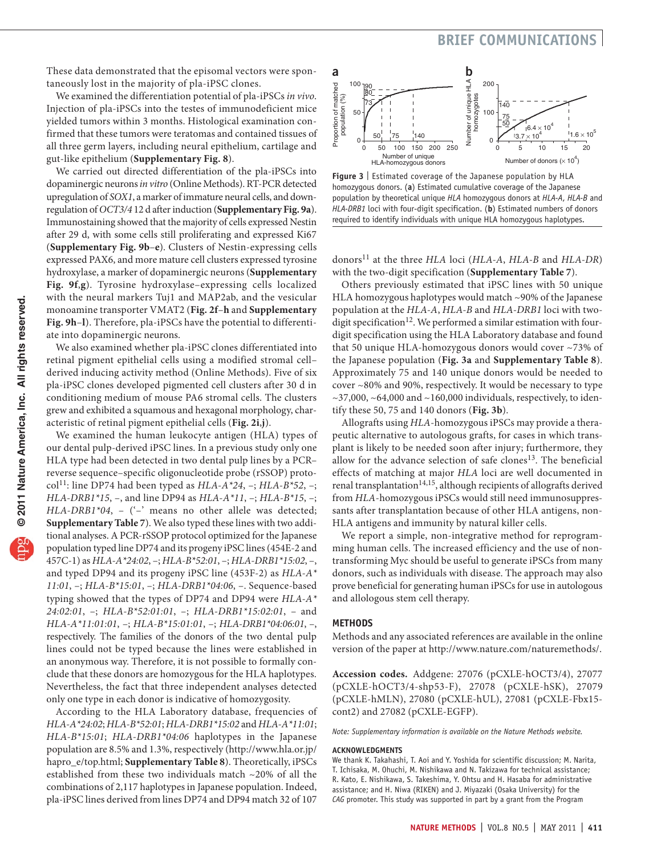### **brief communications**

These data demonstrated that the episomal vectors were spontaneously lost in the majority of pla-iPSC clones.

We examined the differentiation potential of pla-iPSCs *in vivo*. Injection of pla-iPSCs into the testes of immunodeficient mice yielded tumors within 3 months. Histological examination confirmed that these tumors were teratomas and contained tissues of all three germ layers, including neural epithelium, cartilage and gut-like epithelium (**Supplementary Fig. 8**).

We carried out directed differentiation of the pla-iPSCs into dopaminergic neurons *in vitro* (Online Methods). RT-PCR detected upregulation of *SOX1*, a marker of immature neural cells, and downregulation of *OCT3/4* 12 d after induction (**Supplementary Fig. 9a**). Immunostaining showed that the majority of cells expressed Nestin after 29 d, with some cells still proliferating and expressed Ki67 (**Supplementary Fig. 9b**–**e**). Clusters of Nestin-expressing cells expressed PAX6, and more mature cell clusters expressed tyrosine hydroxylase, a marker of dopaminergic neurons (**Supplementary Fig. 9f**,**g**). Tyrosine hydroxylase–expressing cells localized with the neural markers Tuj1 and MAP2ab, and the vesicular monoamine transporter VMAT2 (**[Fig. 2f](#page-1-1)**–**h** and **Supplementary Fig. 9h**–**l**). Therefore, pla-iPSCs have the potential to differentiate into dopaminergic neurons.

We also examined whether pla-iPSC clones differentiated into retinal pigment epithelial cells using a modified stromal cell– derived inducing activity method (Online Methods). Five of six pla-iPSC clones developed pigmented cell clusters after 30 d in conditioning medium of mouse PA6 stromal cells. The clusters grew and exhibited a squamous and hexagonal morphology, characteristic of retinal pigment epithelial cells (**[Fig. 2i](#page-1-1)**,**j**).

We examined the human leukocyte antigen (HLA) types of our dental pulp-derived iPSC lines. In a previous study only one HLA type had been detected in two dental pulp lines by a PCR– reverse sequence–specific oligonucleotide probe (rSSOP) proto-col<sup>[11](#page-3-10)</sup>: line DP74 had been typed as *HLA-A\*24*, –; *HLA-B\*52*, –; *HLA-DRB1\*15*, –, and line DP94 as *HLA-A\*11*, –; *HLA-B\*15*, –; *HLA-DRB1\*04*, - ('-' means no other allele was detected; **Supplementary Table 7**). We also typed these lines with two additional analyses. A PCR-rSSOP protocol optimized for the Japanese population typed line DP74 and its progeny iPSC lines (454E-2 and 457C-1) as *HLA-A\*24:02*, –; *HLA-B\*52:01*, –; *HLA-DRB1\*15:02*, –, and typed DP94 and its progeny iPSC line (453F-2) as *HLA-A\* 11:01*, –; *HLA-B\*15:01*, –; *HLA-DRB1\*04:06*, –. Sequence-based typing showed that the types of DP74 and DP94 were *HLA-A\* 24:02:01*, –; *HLA-B\*52:01:01*, –; *HLA-DRB1\*15:02:01*, – and *HLA-A\*11:01:01*, –; *HLA-B\*15:01:01*, –; *HLA-DRB1\*04:06:01*, –, respectively. The families of the donors of the two dental pulp lines could not be typed because the lines were established in an anonymous way. Therefore, it is not possible to formally conclude that these donors are homozygous for the HLA haplotypes. Nevertheless, the fact that three independent analyses detected only one type in each donor is indicative of homozygosity.

According to the HLA Laboratory database, frequencies of *HLA-A\*24:02*; *HLA-B\*52:01*; *HLA-DRB1\*15:02* and *HLA-A\*11:01*; *HLA-B\*15:01*; *HLA-DRB1\*04:06* haplotypes in the Japanese population are 8.5% and 1.3%, respectively ([http://www.hla.or.jp/](http://www.hla.or.jp/hapro_e/top.html) [hapro\\_e/top.html](http://www.hla.or.jp/hapro_e/top.html); **Supplementary Table 8**). Theoretically, iPSCs established from these two individuals match ~20% of all the combinations of 2,117 haplotypes in Japanese population. Indeed, pla-iPSC lines derived from lines DP74 and DP94 match 32 of 107



<span id="page-2-0"></span>**Figure 3** | Estimated coverage of the Japanese population by HLA homozygous donors. (**a**) Estimated cumulative coverage of the Japanese population by theoretical unique *HLA* homozygous donors at *HLA-A*, *HLA-B* and *HLA-DRB1* loci with four-digit specification. (**b**) Estimated numbers of donors required to identify individuals with unique HLA homozygous haplotypes.

donors[11](#page-3-10) at the three *HLA* loci (*HLA-A*, *HLA-B* and *HLA-DR*) with the two-digit specification (**Supplementary Table 7**).

Others previously estimated that iPSC lines with 50 unique HLA homozygous haplotypes would match ~90% of the Japanese population at the *HLA-A*, *HLA-B* and *HLA-DRB1* loci with twodigit specification<sup>12</sup>. We performed a similar estimation with fourdigit specification using the HLA Laboratory database and found that 50 unique HLA-homozygous donors would cover ~73% of the Japanese population (**[Fig. 3a](#page-2-0)** and **Supplementary Table 8**). Approximately 75 and 140 unique donors would be needed to cover ~80% and 90%, respectively. It would be necessary to type  $\sim$ 37,000,  $\sim$ 64,000 and  $\sim$ 160,000 individuals, respectively, to identify these 50, 75 and 140 donors (**[Fig. 3b](#page-2-0)**).

Allografts using *HLA*-homozygous iPSCs may provide a therapeutic alternative to autologous grafts, for cases in which transplant is likely to be needed soon after injury; furthermore, they allow for the advance selection of safe clones<sup>[13](#page-3-12)</sup>. The beneficial effects of matching at major *HLA* loci are well documented in renal transplantation $^{14,15}$ , although recipients of allografts derived from *HLA*-homozygous iPSCs would still need immunosuppressants after transplantation because of other HLA antigens, non-HLA antigens and immunity by natural killer cells.

We report a simple, non-integrative method for reprogramming human cells. The increased efficiency and the use of nontransforming Myc should be useful to generate iPSCs from many donors, such as individuals with disease. The approach may also prove beneficial for generating human iPSCs for use in autologous and allologous stem cell therapy.

### **Methods**

Methods and any associated references are available in the online version of the paper at http://www.nature.com/naturemethods/.

**Accession codes.** Addgene: 27076 (pCXLE-hOCT3/4), 27077 (pCXLE-hOCT3/4-shp53-F), 27078 (pCXLE-hSK), 27079 (pCXLE-hMLN), 27080 (pCXLE-hUL), 27081 (pCXLE-Fbx15 cont2) and 27082 (pCXLE-EGFP).

*Note: Supplementary information is available on the Nature [Methods](http://www.nature.com/naturemethods/) website.*

### **Acknowledgments**

We thank K. Takahashi, T. Aoi and Y. Yoshida for scientific discussion; M. Narita, T. Ichisaka, M. Ohuchi, M. Nishikawa and N. Takizawa for technical assistance; R. Kato, E. Nishikawa, S. Takeshima, Y. Ohtsu and H. Hasaba for administrative assistance; and H. Niwa (RIKEN) and J. Miyazaki (Osaka University) for the *CAG* promoter. This study was supported in part by a grant from the Program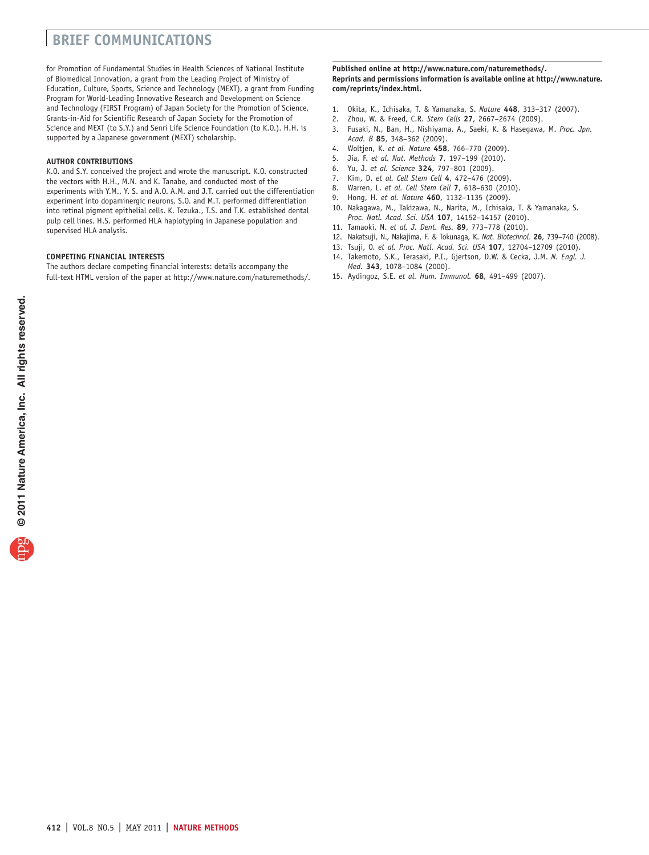## **brief communications**

for Promotion of Fundamental Studies in Health Sciences of National Institute of Biomedical Innovation, a grant from the Leading Project of Ministry of Education, Culture, Sports, Science and Technology (MEXT), a grant from Funding Program for World-Leading Innovative Research and Development on Science and Technology (FIRST Program) of Japan Society for the Promotion of Science, Grants-in-Aid for Scientific Research of Japan Society for the Promotion of Science and MEXT (to S.Y.) and Senri Life Science Foundation (to K.O.). H.H. is supported by a Japanese government (MEXT) scholarship.

### **AUTHOR CONTRIBUTIONS**

K.O. and S.Y. conceived the project and wrote the manuscript. K.O. constructed the vectors with H.H., M.N. and K. Tanabe, and conducted most of the experiments with Y.M., Y. S. and A.O. A.M. and J.T. carried out the differentiation experiment into dopaminergic neurons. S.O. and M.T. performed differentiation into retinal pigment epithelial cells. K. Tezuka., T.S. and T.K. established dental pulp cell lines. H.S. performed HLA haplotyping in Japanese population and supervised HLA analysis.

### **COMPETING FINANCIAL INTERESTS**

The authors declare competing financial interests: details accompany the full-text HTML version of the paper at [http://www.nature.com/naturemethods/.](http://www.nature.com/naturemethods/)

#### **Published online at http://www.nature.com/naturemethods/. Reprints and permissions information is available online at http://www.nature. com/reprints/index.html.**

- <span id="page-3-2"></span>1. Okita, K., Ichisaka, T. & Yamanaka, S. *Nature* **448**, 313–317 (2007).
- <span id="page-3-3"></span>2. Zhou, W. & Freed, C.R. *Stem Cells* **27**, 2667–2674 (2009).
- <span id="page-3-4"></span>3. Fusaki, N., Ban, H., Nishiyama, A., Saeki, K. & Hasegawa, M. *Proc. Jpn. Acad. B* **85**, 348–362 (2009).
- <span id="page-3-5"></span>4. Woltjen, K. *et al. Nature* **458**, 766–770 (2009).
- <span id="page-3-6"></span>5. Jia, F. *et al. Nat. Methods* **7**, 197–199 (2010).
- <span id="page-3-7"></span>6. Yu, J. *et al. Science* **324**, 797–801 (2009).
- <span id="page-3-8"></span>7. Kim, D. *et al. Cell Stem Cell* **4**, 472–476 (2009).
- <span id="page-3-9"></span>8. Warren, L. *et al. Cell Stem Cell* **7**, 618–630 (2010).
- <span id="page-3-0"></span>9. Hong, H. *et al. Nature* **460**, 1132–1135 (2009).
- <span id="page-3-1"></span>10. Nakagawa, M., Takizawa, N., Narita, M., Ichisaka, T. & Yamanaka, S. *Proc. Natl. Acad. Sci. USA* **107**, 14152–14157 (2010).
- <span id="page-3-10"></span>11. Tamaoki, N. *et al. J. Dent. Res.* **89**, 773–778 (2010).
- <span id="page-3-11"></span>12. Nakatsuji, N., Nakajima, F. & Tokunaga, K. *Nat. Biotechnol.* **26**, 739–740 (2008).
- <span id="page-3-12"></span>13. Tsuji, O. *et al. Proc. Natl. Acad. Sci. USA* **107**, 12704–12709 (2010).
- 14. Takemoto, S.K., Terasaki, P.I., Gjertson, D.W. & Cecka, J.M. *N. Engl. J. Med.* **343**, 1078–1084 (2000).
- 15. Aydingoz, S.E. *et al. Hum. Immunol.* **68**, 491–499 (2007).

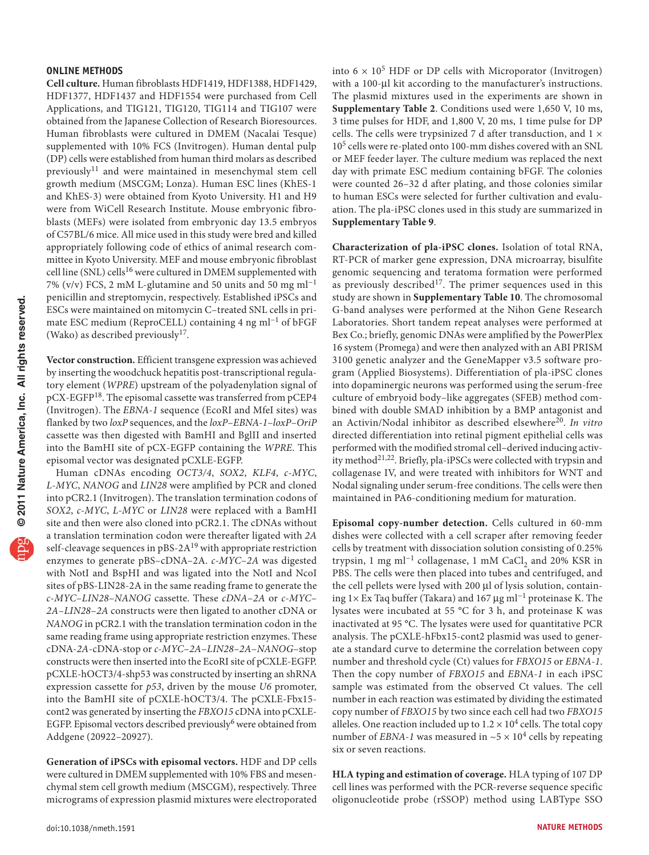### **ONLINE METHODS**

**Cell culture.** Human fibroblasts HDF1419, HDF1388, HDF1429, HDF1377, HDF1437 and HDF1554 were purchased from Cell Applications, and TIG121, TIG120, TIG114 and TIG107 were obtained from the Japanese Collection of Research Bioresources. Human fibroblasts were cultured in DMEM (Nacalai Tesque) supplemented with 10% FCS (Invitrogen). Human dental pulp (DP) cells were established from human third molars as described previously<sup>11</sup> and were maintained in mesenchymal stem cell growth medium (MSCGM; Lonza). Human ESC lines (KhES-1 and KhES-3) were obtained from Kyoto University. H1 and H9 were from WiCell Research Institute. Mouse embryonic fibroblasts (MEFs) were isolated from embryonic day 13.5 embryos of C57BL/6 mice. All mice used in this study were bred and killed appropriately following code of ethics of animal research committee in Kyoto University. MEF and mouse embryonic fibroblast cell line (SNL) cells<sup>16</sup> were cultured in DMEM supplemented with 7% (v/v) FCS, 2 mM L-glutamine and 50 units and 50 mg ml−1 penicillin and streptomycin, respectively. Established iPSCs and ESCs were maintained on mitomycin C–treated SNL cells in primate ESC medium (ReproCELL) containing 4 ng ml−1 of bFGF (Wako) as described previously<sup>17</sup>.

**Vector construction.** Efficient transgene expression was achieved by inserting the woodchuck hepatitis post-transcriptional regulatory element (*WPRE*) upstream of the polyadenylation signal of pCX-EGFP[18](#page-5-2). The episomal cassette was transferred from pCEP4 (Invitrogen). The *EBNA-1* sequence (EcoRI and MfeI sites) was flanked by two *loxP* sequences, and the *loxP*–*EBNA-1*–*loxP*–*OriP* cassette was then digested with BamHI and BglII and inserted into the BamHI site of pCX-EGFP containing the *WPRE*. This episomal vector was designated pCXLE-EGFP.

Human cDNAs encoding *OCT3/4*, *SOX2*, *KLF4*, *c-MYC*, *L-MYC*, *NANOG* and *LIN28* were amplified by PCR and cloned into pCR2.1 (Invitrogen). The translation termination codons of *SOX2*, *c-MYC*, *L-MYC* or *LIN28* were replaced with a BamHI site and then were also cloned into pCR2.1. The cDNAs without a translation termination codon were thereafter ligated with *2A* self-cleavage sequences in pBS-2A<sup>[19](#page-5-3)</sup> with appropriate restriction enzymes to generate pBS–cDNA–2A. *c-MYC*–*2A* was digested with NotI and BspHI and was ligated into the NotI and NcoI sites of pBS-LIN28-2A in the same reading frame to generate the *c-MYC*–*LIN28*–*NANOG* cassette. These *cDNA*–*2A* or *c-MYC*– *2A*–*LIN28*–*2A* constructs were then ligated to another cDNA or *NANOG* in pCR2.1 with the translation termination codon in the same reading frame using appropriate restriction enzymes. These cDNA-*2A*-cDNA-stop or *c-MYC*–*2A*–*LIN28*–*2A*–*NANOG*–stop constructs were then inserted into the EcoRI site of pCXLE-EGFP. pCXLE-hOCT3/4-shp53 was constructed by inserting an shRNA expression cassette for *p53*, driven by the mouse *U6* promoter, into the BamHI site of pCXLE-hOCT3/4. The pCXLE-Fbx15 cont2 was generated by inserting the *FBXO15* cDNA into pCXLE-EGFP. Episomal vectors described previously<sup>6</sup> were obtained from Addgene (20922–20927).

**Generation of iPSCs with episomal vectors.** HDF and DP cells were cultured in DMEM supplemented with 10% FBS and mesenchymal stem cell growth medium (MSCGM), respectively. Three micrograms of expression plasmid mixtures were electroporated into  $6 \times 10^5$  HDF or DP cells with Microporator (Invitrogen) with a 100-µl kit according to the manufacturer's instructions. The plasmid mixtures used in the experiments are shown in **Supplementary Table 2**. Conditions used were 1,650 V, 10 ms, 3 time pulses for HDF, and 1,800 V, 20 ms, 1 time pulse for DP cells. The cells were trypsinized 7 d after transduction, and  $1 \times$ 105 cells were re-plated onto 100-mm dishes covered with an SNL or MEF feeder layer. The culture medium was replaced the next day with primate ESC medium containing bFGF. The colonies were counted 26–32 d after plating, and those colonies similar to human ESCs were selected for further cultivation and evaluation. The pla-iPSC clones used in this study are summarized in **Supplementary Table 9**.

**Characterization of pla-iPSC clones.** Isolation of total RNA, RT-PCR of marker gene expression, DNA microarray, bisulfite genomic sequencing and teratoma formation were performed as previously described<sup>[17](#page-5-1)</sup>. The primer sequences used in this study are shown in **Supplementary Table 10**. The chromosomal G-band analyses were performed at the Nihon Gene Research Laboratories. Short tandem repeat analyses were performed at Bex Co.; briefly, genomic DNAs were amplified by the PowerPlex 16 system (Promega) and were then analyzed with an ABI PRISM 3100 genetic analyzer and the GeneMapper v3.5 software program (Applied Biosystems). Differentiation of pla-iPSC clones into dopaminergic neurons was performed using the serum-free culture of embryoid body–like aggregates (SFEB) method combined with double SMAD inhibition by a BMP antagonist and an Activin/Nodal inhibitor as described elsewhere<sup>20</sup>. In vitro directed differentiation into retinal pigment epithelial cells was performed with the modified stromal cell–derived inducing activity method<sup>21,22</sup>. Briefly, pla-iPSCs were collected with trypsin and collagenase IV, and were treated with inhibitors for WNT and Nodal signaling under serum-free conditions. The cells were then maintained in PA6-conditioning medium for maturation.

**Episomal copy-number detection.** Cells cultured in 60-mm dishes were collected with a cell scraper after removing feeder cells by treatment with dissociation solution consisting of 0.25% trypsin, 1 mg ml<sup>-1</sup> collagenase, 1 mM CaCl<sub>2</sub> and 20% KSR in PBS. The cells were then placed into tubes and centrifuged, and the cell pellets were lysed with 200 µl of lysis solution, containing 1× Ex Taq buffer (Takara) and 167 µg ml−1 proteinase K. The lysates were incubated at 55 °C for 3 h, and proteinase K was inactivated at 95 °C. The lysates were used for quantitative PCR analysis. The pCXLE-hFbx15-cont2 plasmid was used to generate a standard curve to determine the correlation between copy number and threshold cycle (Ct) values for *FBXO15* or *EBNA-1*. Then the copy number of *FBXO15* and *EBNA-1* in each iPSC sample was estimated from the observed Ct values. The cell number in each reaction was estimated by dividing the estimated copy number of *FBXO15* by two since each cell had two *FBXO15* alleles. One reaction included up to  $1.2 \times 10^4$  cells. The total copy number of *EBNA-1* was measured in  $~5 \times 10^4$  cells by repeating six or seven reactions.

**HLA typing and estimation of coverage.** HLA typing of 107 DP cell lines was performed with the PCR-reverse sequence specific oligonucleotide probe (rSSOP) method using LABType SSO